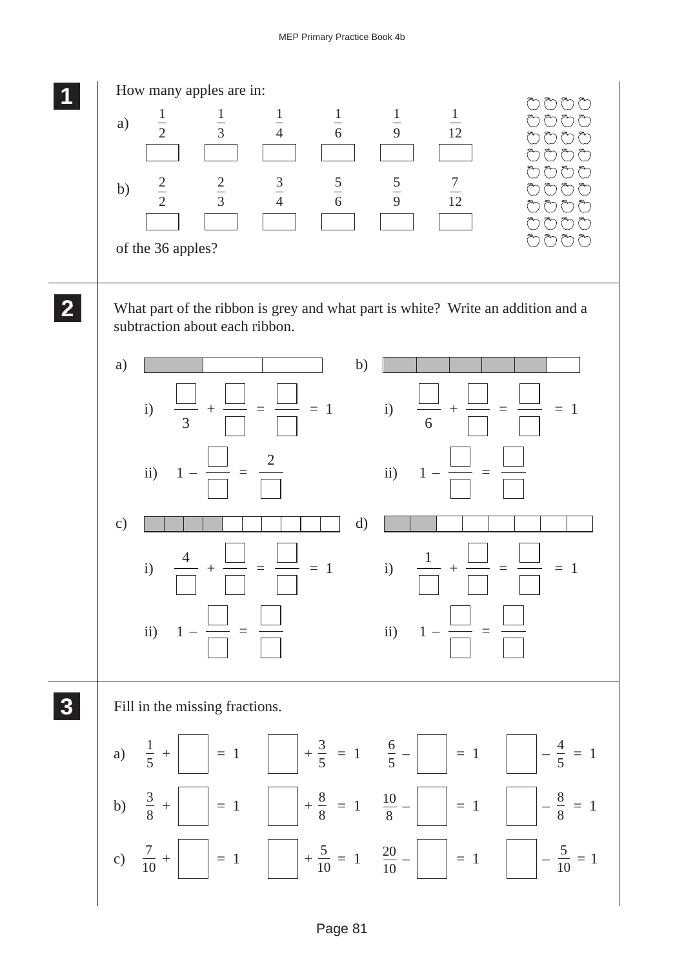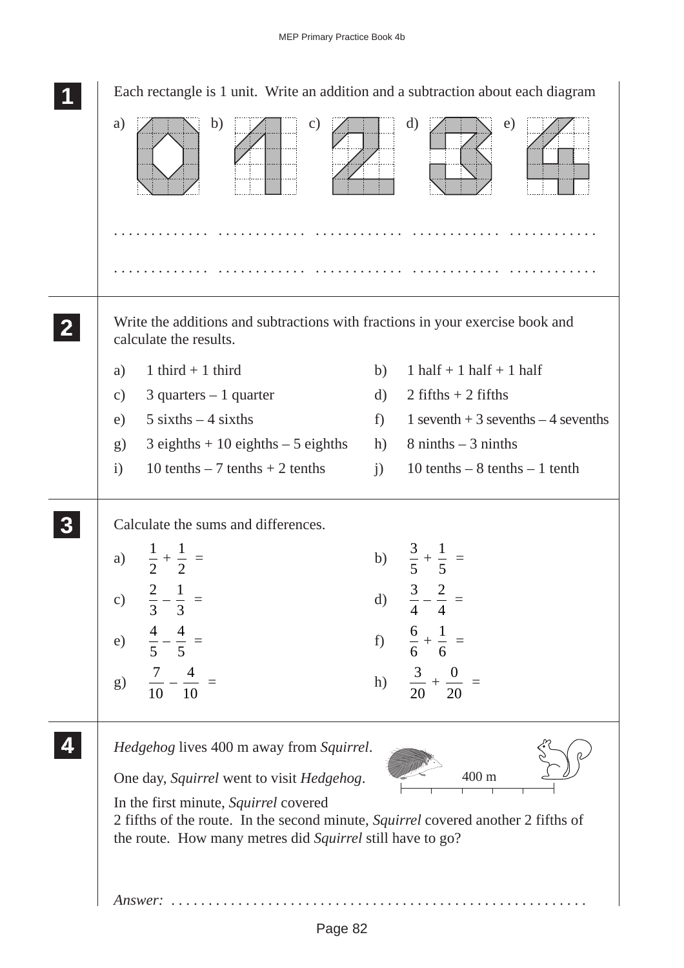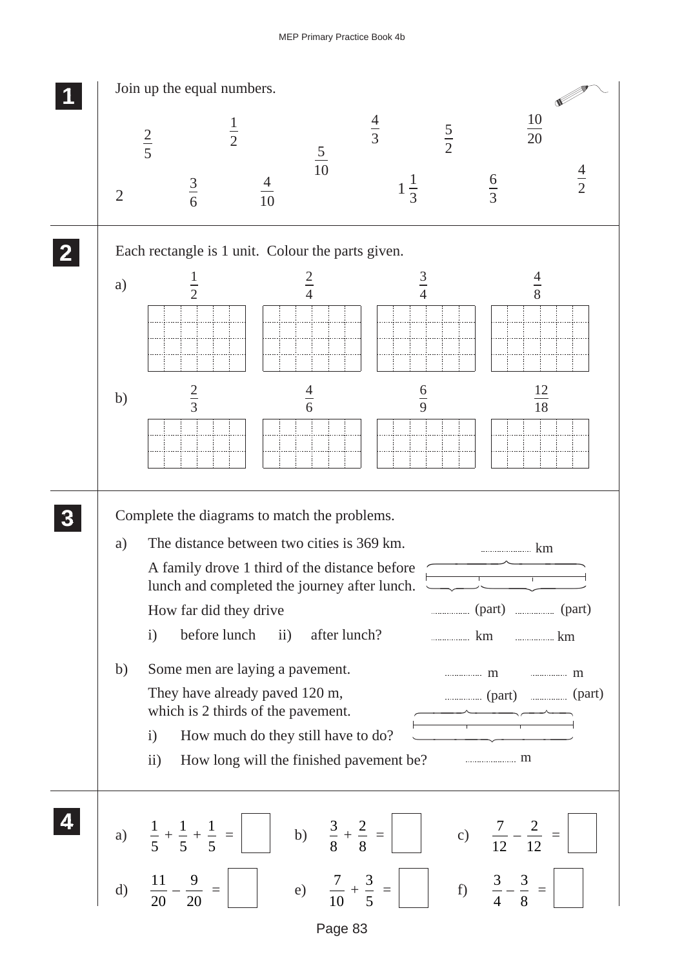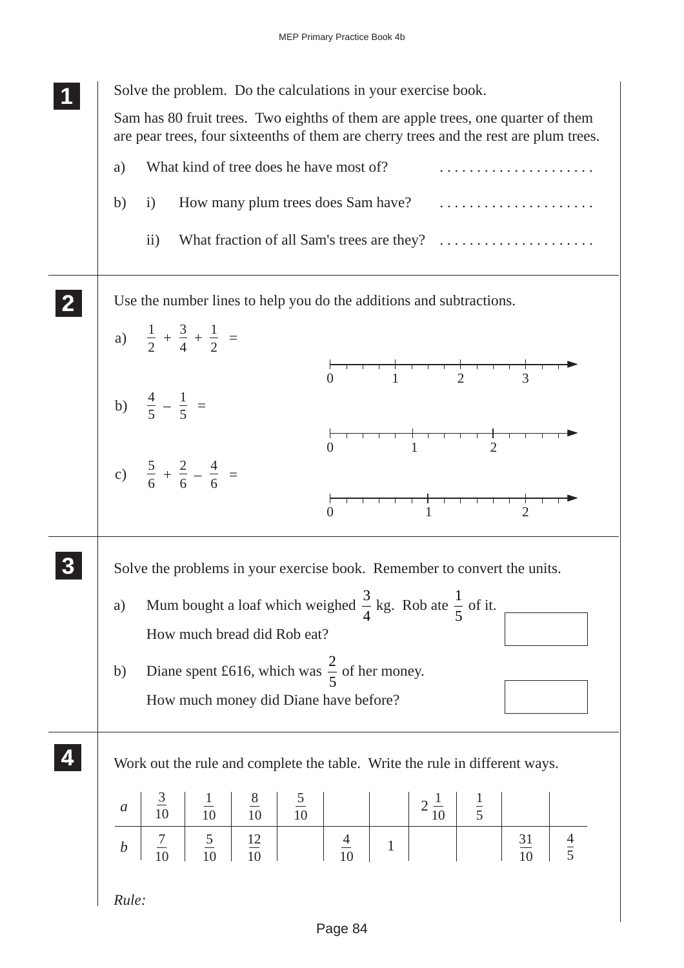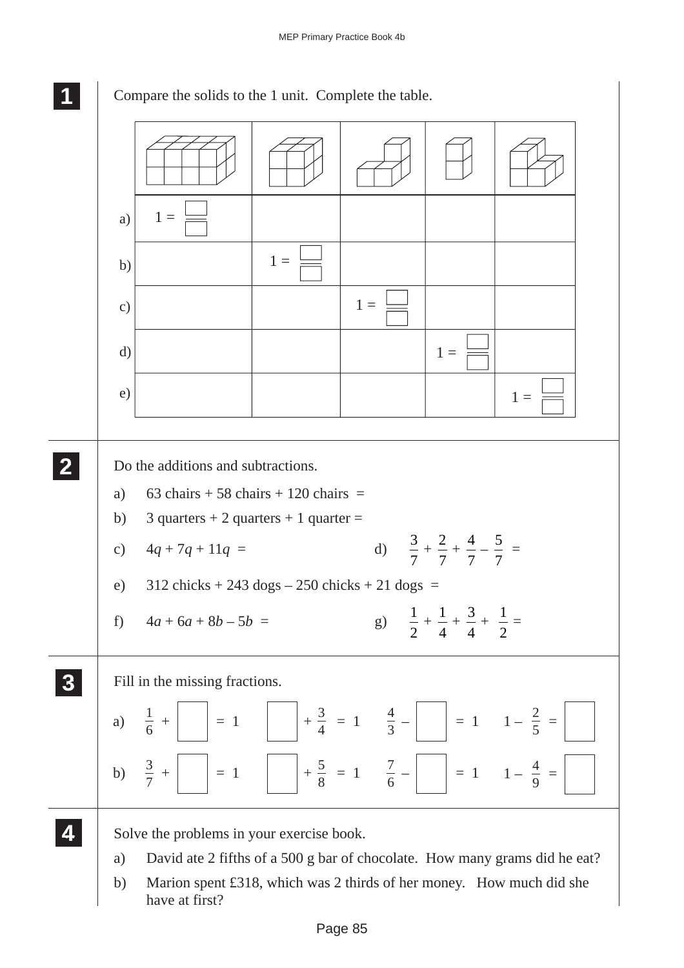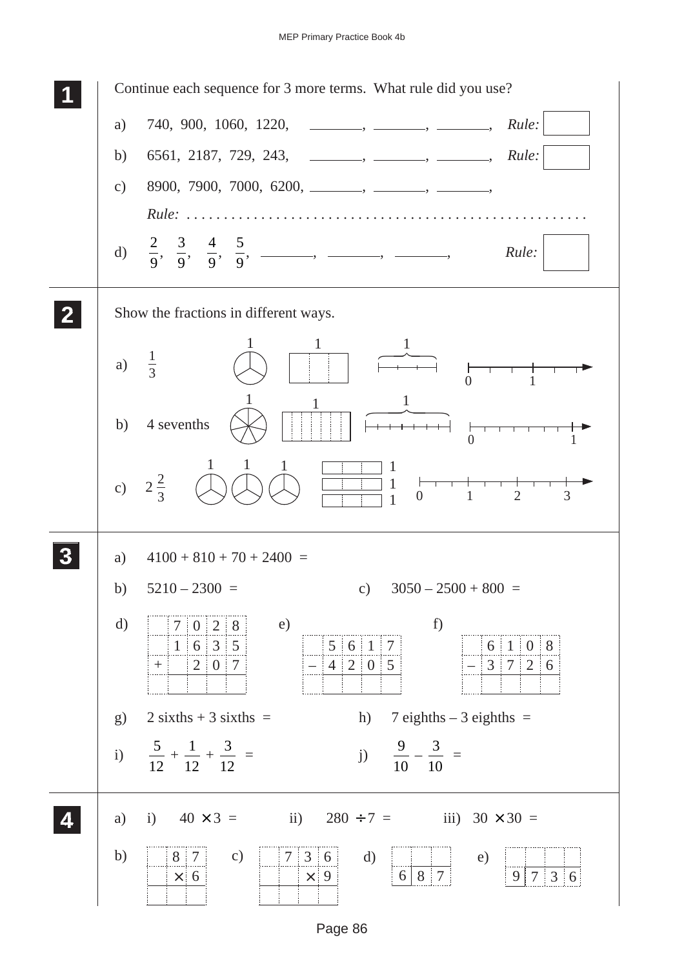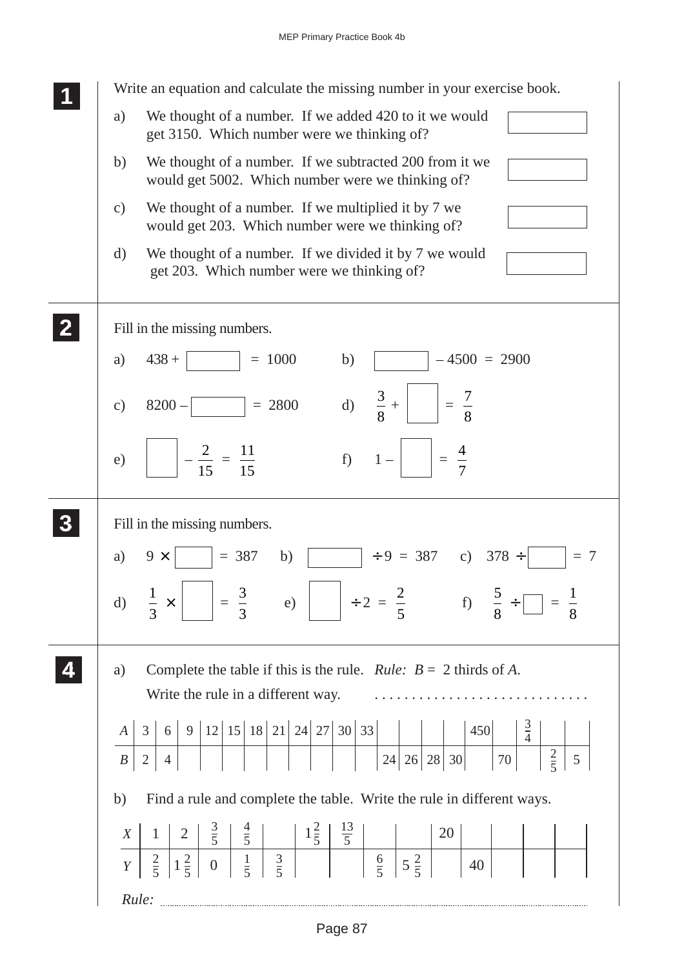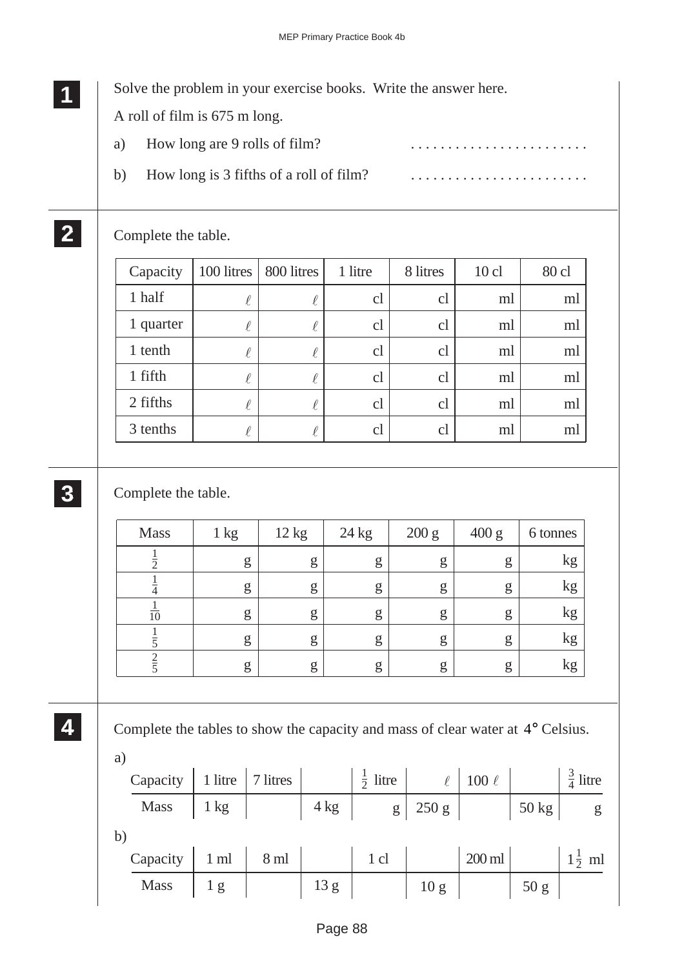|    | Solve the problem in your exercise books. Write the answer here. |  |
|----|------------------------------------------------------------------|--|
|    | A roll of film is 675 m long.                                    |  |
| a) | How long are 9 rolls of film?                                    |  |
|    | How long is 3 fifths of a roll of film?                          |  |

## Complete the table.

| Capacity  | 100 litres | 800 litres | 1 litre        | 8 litres | $10$ cl | 80 cl |
|-----------|------------|------------|----------------|----------|---------|-------|
| 1 half    | $\ell$     | ¥.         | cl             | cl       | ml      | ml    |
| 1 quarter | $\ell$     |            | cl             | cl       | ml      | ml    |
| 1 tenth   | $\ell$     |            | cl             | cl       | ml      | ml    |
| 1 fifth   | $\ell$     |            | c <sub>l</sub> | cl       | ml      | ml    |
| 2 fifths  | $\ell$     |            | cl             | cl       | ml      | ml    |
| 3 tenths  |            |            | cl             | cl       | ml      | ml    |

## **3 33 33 33**

**2 22 22**

Complete the table.

| <b>Mass</b>         | $1 \text{ kg}$ | 12 kg | 24 kg | 200 g | 400 g | 6 tonnes |
|---------------------|----------------|-------|-------|-------|-------|----------|
| $\overline{2}$      | g              | g     | g     | g     | g     | kg       |
| $\overline{4}$      | g              | g     | g     | g     | g     | kg       |
| $\overline{10}$     | g              | g     | g     | g     | g     | kg       |
|                     | g              | g     | g     | g     | g     | kg       |
| ◠<br>$\overline{5}$ | g              | g     | g     | g     | g     | kg       |

**4 44 44**

Complete the tables to show the capacity and mass of clear water at 4° Celsius.

| a) |                               |     |                     |      |                                        |      |                                               |                 |                     |
|----|-------------------------------|-----|---------------------|------|----------------------------------------|------|-----------------------------------------------|-----------------|---------------------|
|    | Capacity   1 litre   7 litres |     |                     |      | $\frac{1}{2}$ litre                    |      | $\ell$   100 $\ell$                           |                 | $\frac{3}{4}$ litre |
|    | Mass                          |     | $1 \text{ kg}$      |      | $4 \text{ kg}$ g $250 \text{ g}$ 50 kg |      |                                               |                 | g                   |
| b) |                               |     |                     |      |                                        |      |                                               |                 |                     |
|    | Capacity                      |     | $1 \text{ ml}$ 8 ml |      | $\frac{1}{2}$ d $\frac{1}{2}$          |      | $ 200 \text{ ml} $ $ 1\frac{1}{2} \text{ ml}$ |                 |                     |
|    | <b>Mass</b>                   | 1 g |                     | 13 g |                                        | 10 g |                                               | 50 <sub>g</sub> |                     |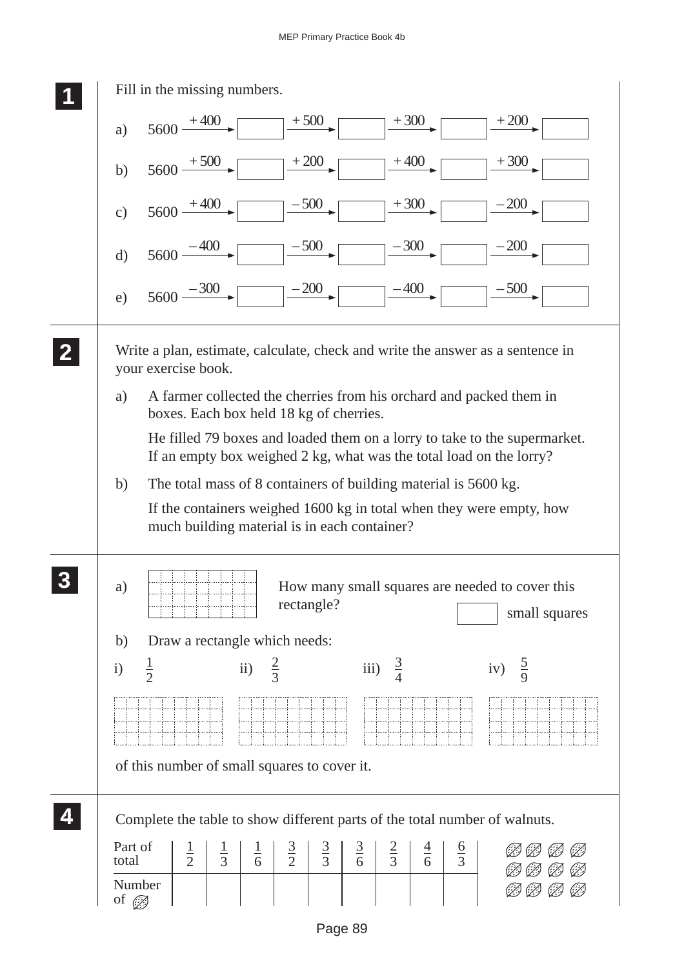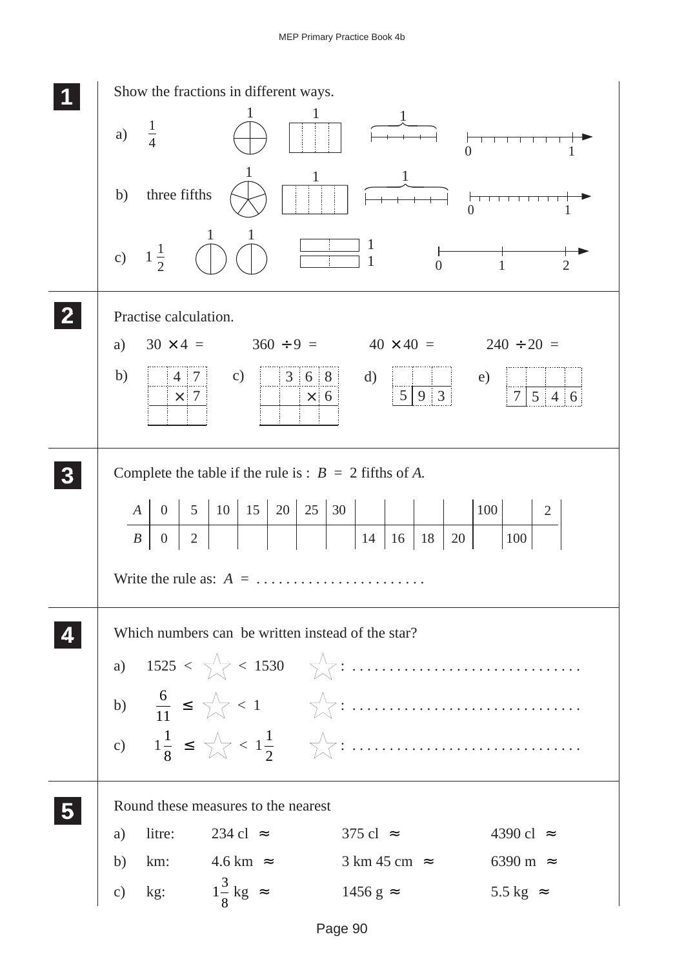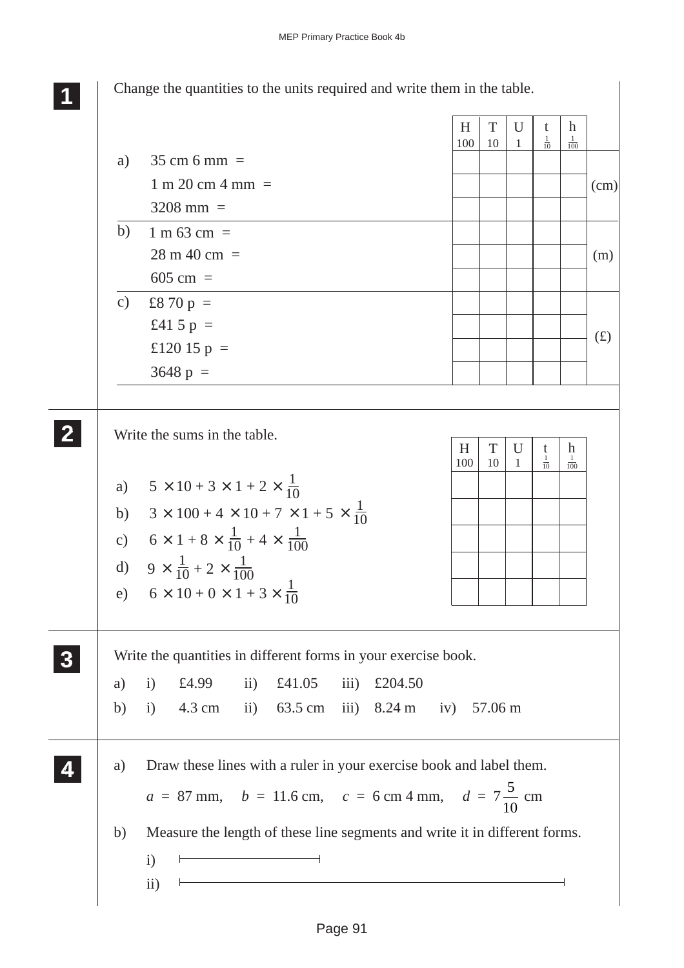Change the quantities to the units required and write them in the table. Write the sums in the table. Write the quantities in different forms in your exercise book. a) i) £4.99 ii) £41.05 iii) £204.50 b) i) 4.3 cm ii) 63.5 cm iii) 8.24 m iv) 57.06 m a) Draw these lines with a ruler in your exercise book and label them.  $a = 87$  mm,  $b = 11.6$  cm,  $c = 6$  cm 4 mm,  $d = 7\frac{5}{16}$ 10 cm b) Measure the length of these line segments and write it in different forms. i) ii) **1 11 11 2 22 22** a)  $5 \times 10 + 3 \times 1 + 2 \times \frac{1}{10}$  $6 \times 1 + 8 \times \frac{1}{10} + 4$  $H$  | T | U | t | h  $100 \mid 10 \mid 1$  $\frac{1}{10}$  $\frac{1}{100}$ d)  $9 \times \frac{1}{10} + 2 \times \frac{1}{10}$ e)  $6 \times 10 + 0 \times 1 + 3 \times \frac{1}{10}$ b) c)  $\times$  100 + 4  $\times$  10 + 7  $\times$  1 + 5  $\times$   $\frac{1}{10}$ 10  $\times$  1 + 8  $\times$   $\frac{1}{10}$  + 4  $\times$ 10  $3 \times 100 + 4 \times 10 + 7 \times 1 + 5$ 1 100 100 10 **3 33 33 33 4 44 44** a)  $35 \text{ cm} 6 \text{ mm} =$  $1 \text{ m } 20 \text{ cm } 4 \text{ mm } =$  $3208$  mm =  $H$  | T | U | t | h  $100 \mid 10 \mid 1$  $\frac{1}{10}$  $\frac{1}{100}$ b) 1 m 63 cm  $=$  $28 \text{ m } 40 \text{ cm } =$ 605 cm  $=$ £8 70 p  $=$ £41 5  $p =$ £120 15  $p =$  $3648 \text{ p } =$  $(cm)$ (m)  $(f)$ c)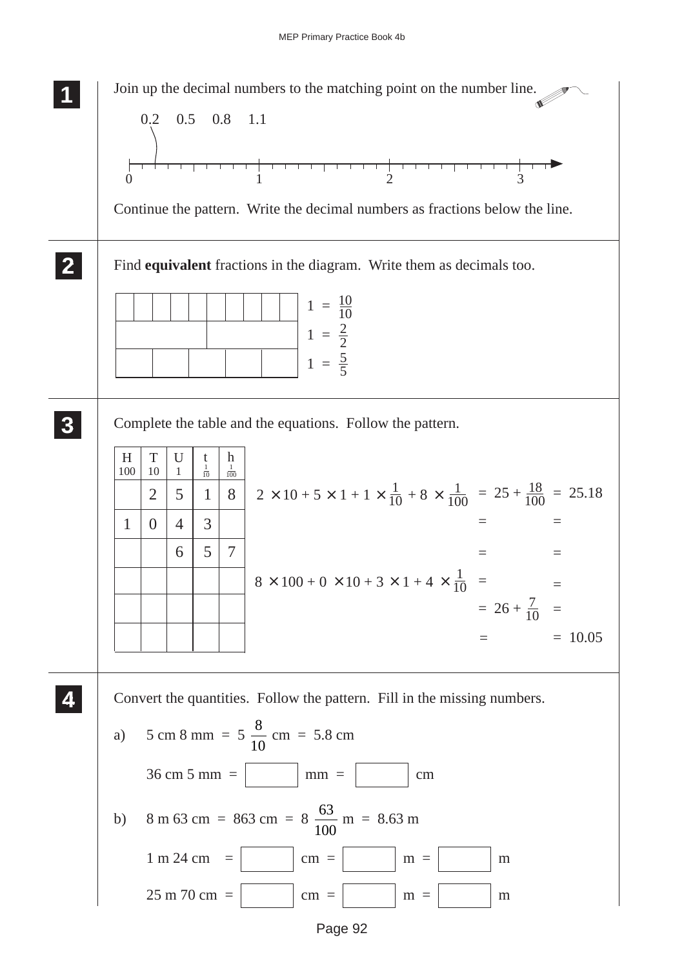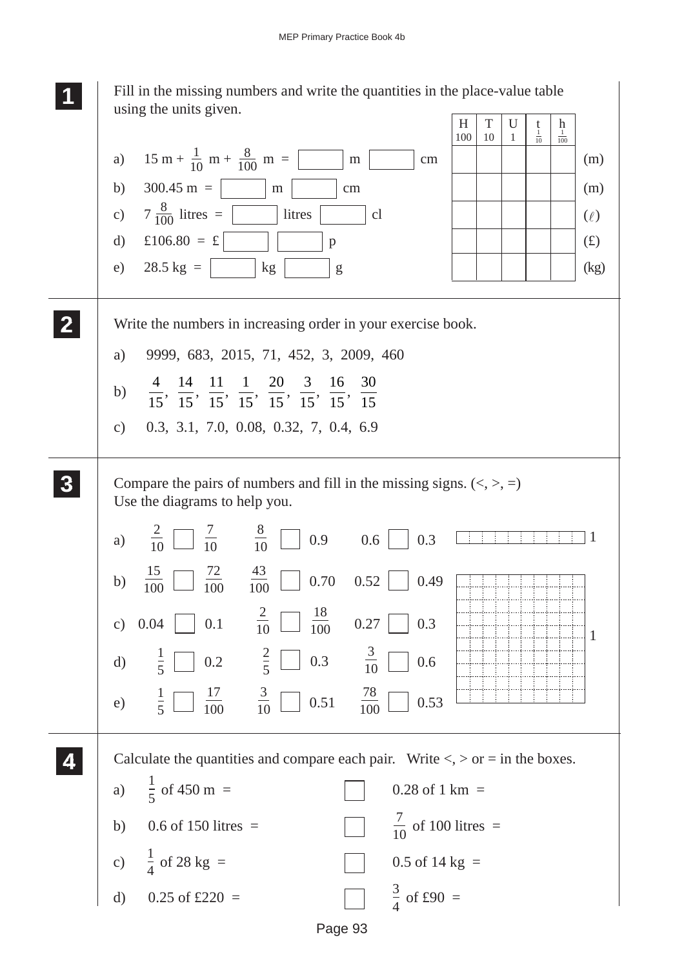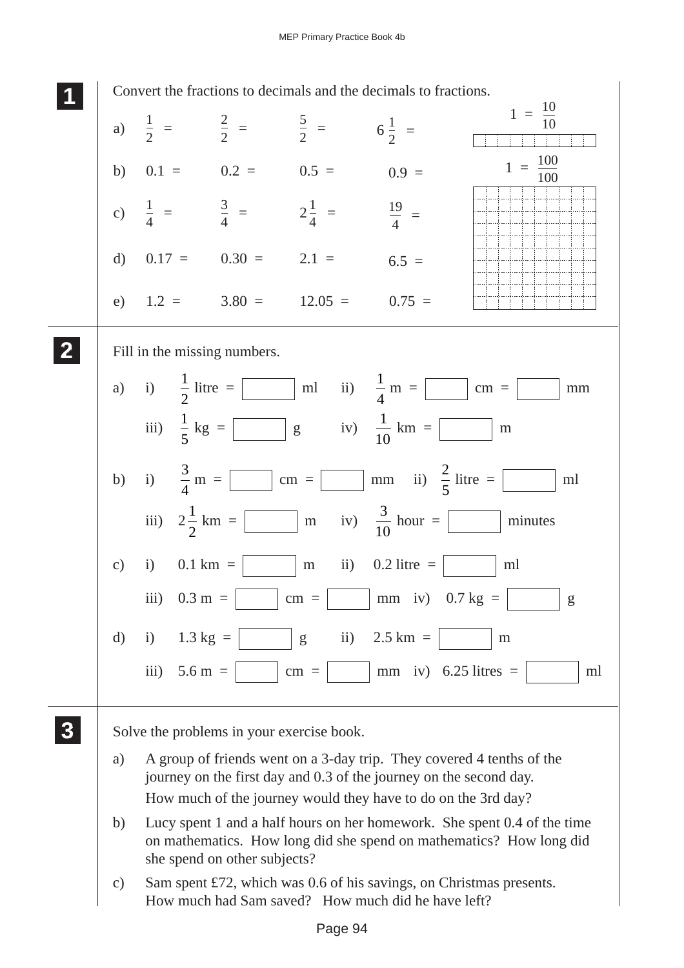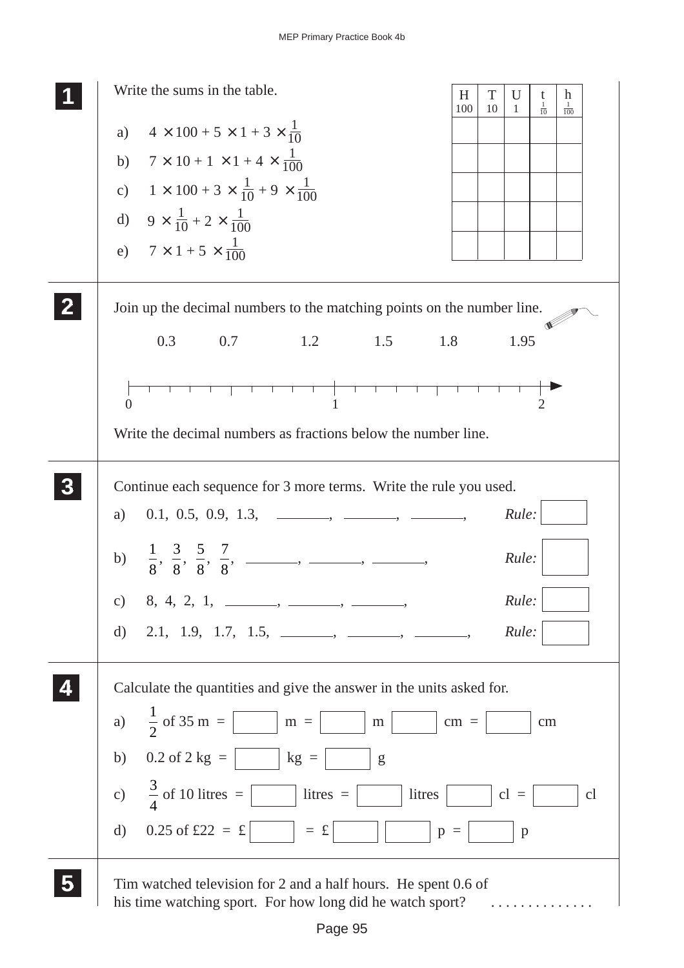| Write the sums in the table.                                                                                                | H      | T  | U            | t              | h               |
|-----------------------------------------------------------------------------------------------------------------------------|--------|----|--------------|----------------|-----------------|
| a) $4 \times 100 + 5 \times 1 + 3 \times \frac{1}{10}$                                                                      | 100    | 10 | -1           | $\frac{1}{10}$ | $\frac{1}{100}$ |
| b) $7 \times 10 + 1 \times 1 + 4 \times \frac{1}{100}$                                                                      |        |    |              |                |                 |
| c) $1 \times 100 + 3 \times \frac{1}{10} + 9 \times \frac{1}{100}$                                                          |        |    |              |                |                 |
| d) $9 \times \frac{1}{10} + 2 \times \frac{1}{100}$                                                                         |        |    |              |                |                 |
| e) $7 \times 1 + 5 \times \frac{1}{100}$                                                                                    |        |    |              |                |                 |
|                                                                                                                             |        |    |              |                |                 |
| Join up the decimal numbers to the matching points on the number line.                                                      |        |    |              |                |                 |
| 0.3<br>0.7<br>1.2<br>1.5                                                                                                    | 1.8    |    | 1.95         |                |                 |
|                                                                                                                             |        |    |              |                |                 |
| $\overline{0}$                                                                                                              |        |    |              |                |                 |
| Write the decimal numbers as fractions below the number line.                                                               |        |    |              |                |                 |
|                                                                                                                             |        |    |              |                |                 |
| Continue each sequence for 3 more terms. Write the rule you used.                                                           |        |    |              |                |                 |
| a)                                                                                                                          |        |    | Rule:        |                |                 |
| b) $\frac{1}{8}, \frac{3}{8}, \frac{5}{8}, \frac{7}{8}, \dots, \dots, \dots,$                                               |        |    | Rule:        |                |                 |
| c) 8, 4, 2, 1, ______, _____, ______,                                                                                       |        |    | Rule:        |                |                 |
| 2.1, 1.9, 1.7, 1.5, _______, ______, ________<br>d)                                                                         |        |    | Rule:        |                |                 |
|                                                                                                                             |        |    |              |                |                 |
| Calculate the quantities and give the answer in the units asked for.                                                        |        |    |              |                |                 |
| a) $\frac{1}{2}$ of 35 m = $\boxed{m = \boxed{m}$                                                                           | $cm =$ |    |              | cm             |                 |
| b) $0.2 \text{ of } 2 \text{ kg } = \begin{vmatrix} \frac{1}{2} & \frac{1}{2} \\ \frac{1}{2} & \frac{1}{2} \end{vmatrix}$   |        |    |              |                |                 |
| c) $\frac{3}{4}$ of 10 litres = litres =<br>litres                                                                          |        |    | $cl =$       |                | cl              |
| d) $0.25 \text{ of } \pounds 22 = \pounds$   = $\pounds$                                                                    | $p =$  |    | $\mathbf{p}$ |                |                 |
| Tim watched television for 2 and a half hours. He spent 0.6 of<br>his time watching sport. For how long did he watch sport? |        |    |              |                |                 |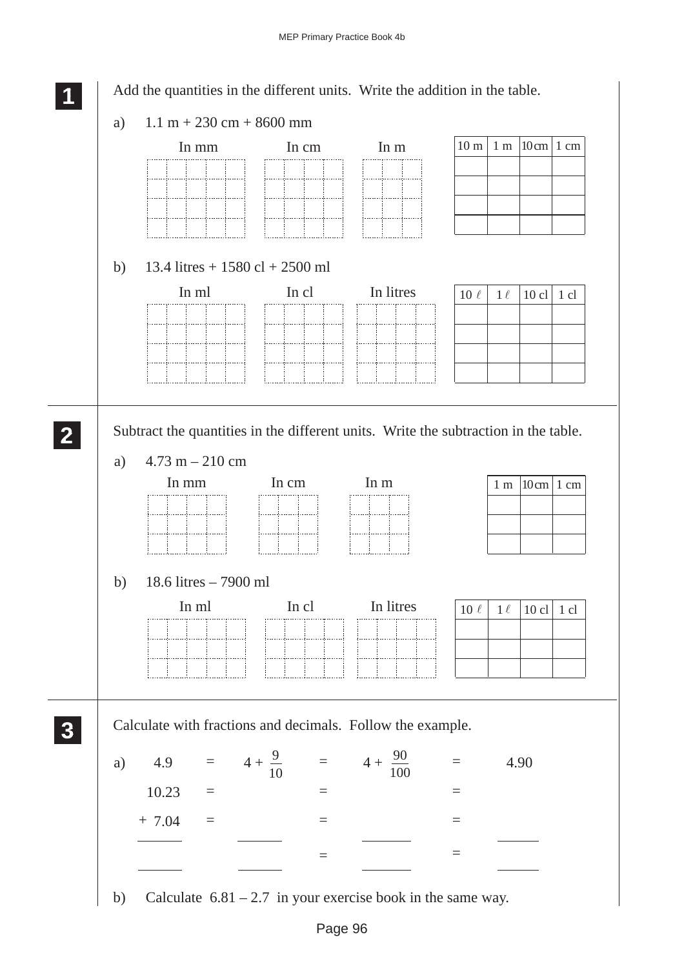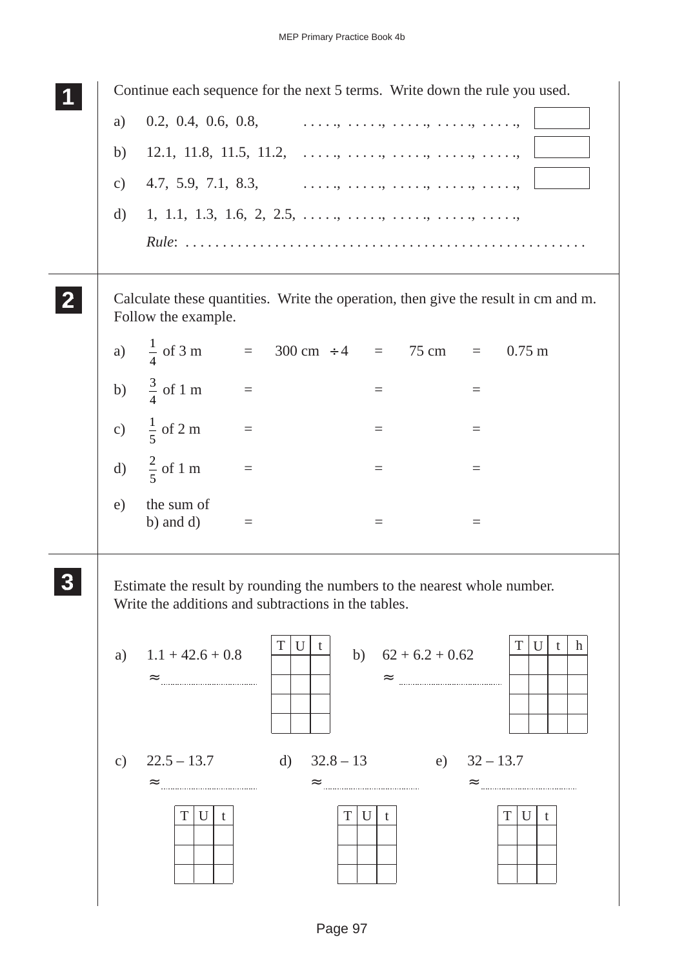|               | Continue each sequence for the next 5 terms. Write down the rule you used.                                                      |
|---------------|---------------------------------------------------------------------------------------------------------------------------------|
| a)            | $0.2, 0.4, 0.6, 0.8, \ldots, \ldots, \ldots, \ldots, \ldots, \ldots, \ldots,$                                                   |
| b)            | 12.1, 11.8, 11.5, 11.2, , , , , , ,                                                                                             |
| $\mathbf{c})$ | 4.7, 5.9, 7.1, 8.3, , , , , , , ,                                                                                               |
| d)            | $1, 1.1, 1.3, 1.6, 2, 2.5, \ldots, \ldots, \ldots, \ldots, \ldots, \ldots, \ldots,$                                             |
|               |                                                                                                                                 |
|               | Calculate these quantities. Write the operation, then give the result in cm and m.<br>Follow the example.                       |
|               | a) $\frac{1}{4}$ of 3 m = 300 cm ÷ 4 = 75 cm =<br>$0.75 \text{ m}$                                                              |
|               | b) $\frac{3}{4}$ of 1 m<br>$\equiv$<br>$\equiv$<br>$\equiv$                                                                     |
|               | c) $\frac{1}{5}$ of 2 m<br>$\equiv$<br>$=$<br>$\!\!\!=\!\!\!\!$                                                                 |
|               | d) $\frac{2}{5}$ of 1 m<br>$\equiv$<br>$\equiv$<br>$\quad \  \  =$                                                              |
| e)            | the sum of<br>b) and $d$ )<br>$\equiv$<br>$\equiv$<br>$\!\!\!=\!\!\!\!$                                                         |
|               | Estimate the result by rounding the numbers to the nearest whole number.<br>Write the additions and subtractions in the tables. |
| a)            | U<br>T<br>U<br>Т<br>h<br>t<br>t<br>$1.1 + 42.6 + 0.8$<br>$62 + 6.2 + 0.62$<br>b)<br>$\approx$<br>$\approx$                      |
| $\mathbf{c})$ | $22.5 - 13.7$<br>$32.8 - 13$<br>e) $32 - 13.7$<br>d)<br>$\approx$<br>$\approx$<br>T<br>U<br>T<br>U<br>T<br>U<br>t<br>t<br>t     |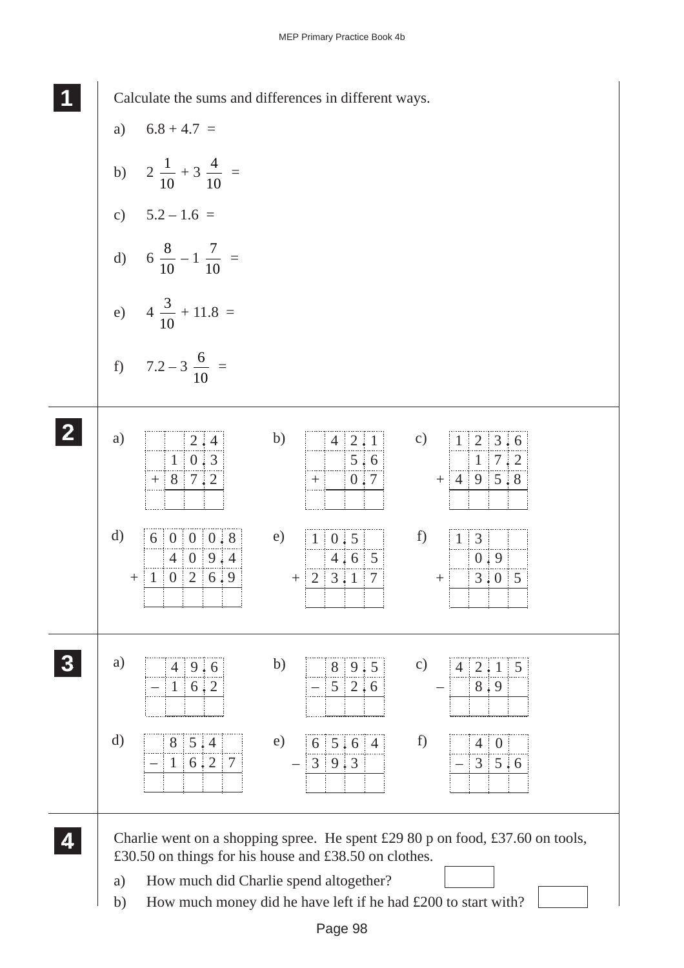**1 11**

Calculate the sums and differences in different ways.

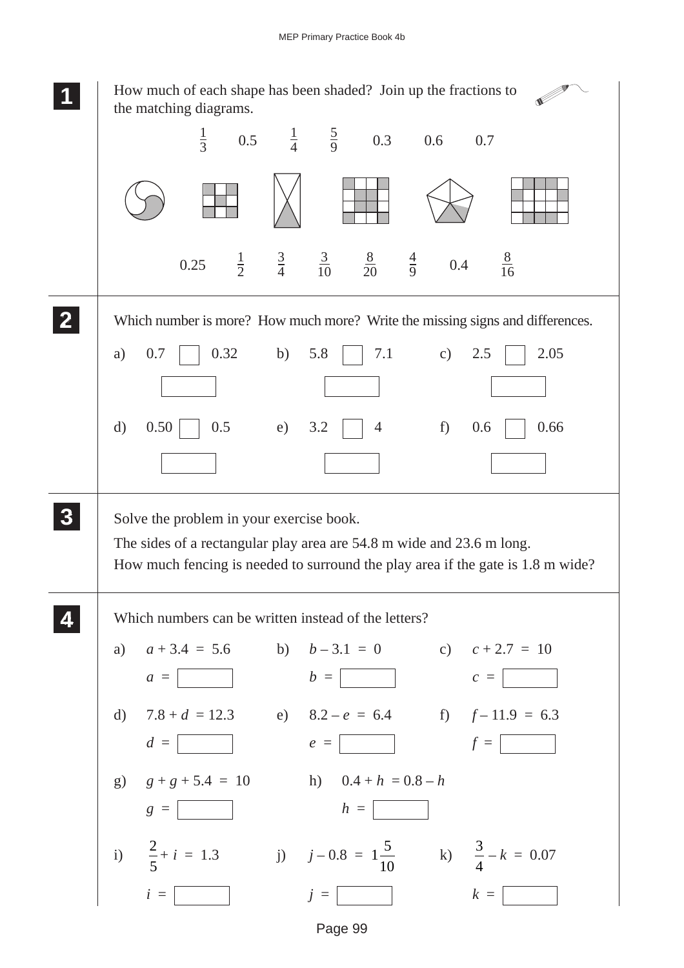

Page 99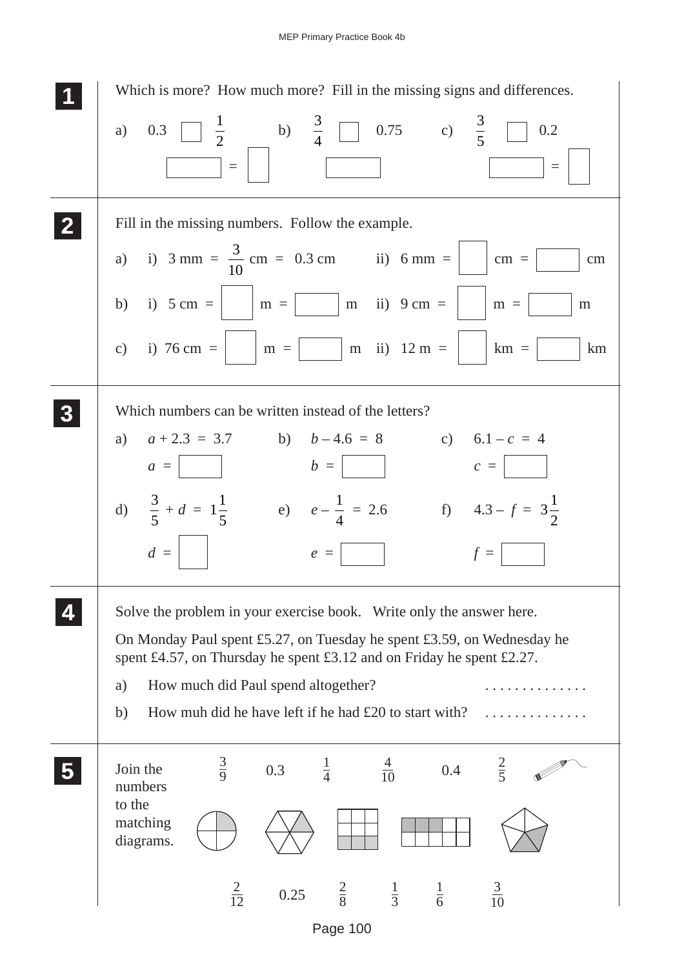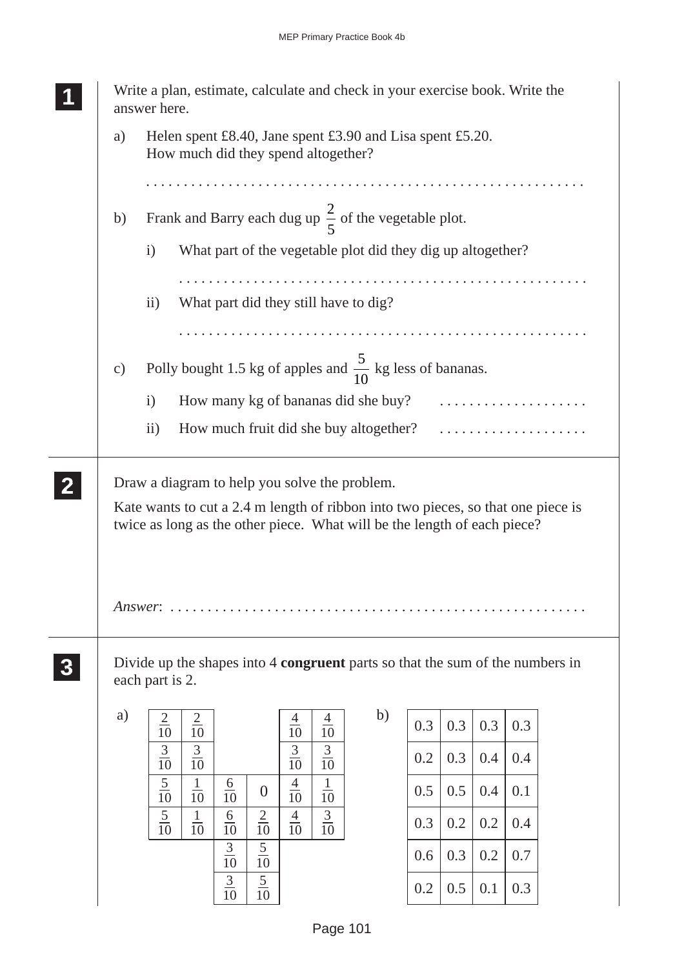|                                                                                                                                                                                                               | Write a plan, estimate, calculate and check in your exercise book. Write the<br>answer here.                                                          |  |  |  |  |  |  |  |  |
|---------------------------------------------------------------------------------------------------------------------------------------------------------------------------------------------------------------|-------------------------------------------------------------------------------------------------------------------------------------------------------|--|--|--|--|--|--|--|--|
| a)                                                                                                                                                                                                            | Helen spent £8.40, Jane spent £3.90 and Lisa spent £5.20.<br>How much did they spend altogether?                                                      |  |  |  |  |  |  |  |  |
| b)                                                                                                                                                                                                            | Frank and Barry each dug up $\frac{2}{5}$ of the vegetable plot.                                                                                      |  |  |  |  |  |  |  |  |
|                                                                                                                                                                                                               | $\mathbf{i}$<br>What part of the vegetable plot did they dig up altogether?                                                                           |  |  |  |  |  |  |  |  |
|                                                                                                                                                                                                               | ii)<br>What part did they still have to dig?                                                                                                          |  |  |  |  |  |  |  |  |
|                                                                                                                                                                                                               |                                                                                                                                                       |  |  |  |  |  |  |  |  |
| $\mathbf{c})$                                                                                                                                                                                                 | Polly bought 1.5 kg of apples and $\frac{5}{10}$ kg less of bananas.                                                                                  |  |  |  |  |  |  |  |  |
|                                                                                                                                                                                                               | How many kg of bananas did she buy?<br>$\mathbf{i}$                                                                                                   |  |  |  |  |  |  |  |  |
|                                                                                                                                                                                                               | $\overline{ii}$ )<br>How much fruit did she buy altogether?                                                                                           |  |  |  |  |  |  |  |  |
| Draw a diagram to help you solve the problem.<br>Kate wants to cut a 2.4 m length of ribbon into two pieces, so that one piece is<br>twice as long as the other piece. What will be the length of each piece? |                                                                                                                                                       |  |  |  |  |  |  |  |  |
|                                                                                                                                                                                                               | $Answer: \ldots \ldots \ldots$                                                                                                                        |  |  |  |  |  |  |  |  |
|                                                                                                                                                                                                               | Divide up the shapes into 4 <b>congruent</b> parts so that the sum of the numbers in<br>each part is 2.                                               |  |  |  |  |  |  |  |  |
| a)                                                                                                                                                                                                            | b)<br>$\frac{2}{10}$<br>$\frac{2}{10}$<br>$\frac{4}{10}$<br>$\frac{4}{10}$<br>0.3<br>0.3<br>0.3<br>0.3                                                |  |  |  |  |  |  |  |  |
|                                                                                                                                                                                                               | $\frac{3}{10}$<br>$\frac{3}{10}$<br>$\frac{3}{10}$<br>$\frac{3}{10}$<br>0.3<br>0.4<br>0.4<br>0.2                                                      |  |  |  |  |  |  |  |  |
|                                                                                                                                                                                                               | $\frac{5}{10}$<br>$\frac{1}{10}$<br>$\frac{4}{10}$<br>$\frac{1}{10}$<br>$\frac{6}{10}$<br>0.5<br>0.5<br>0.4<br>0.1<br>$\theta$                        |  |  |  |  |  |  |  |  |
|                                                                                                                                                                                                               | $\frac{3}{10}$<br>$\frac{5}{10}$<br>$\mathbf{1}$<br>$\frac{2}{10}$<br>$\frac{4}{10}$<br>$\frac{6}{10}$<br>0.2<br>0.2<br>0.3<br>0.4<br>$\overline{10}$ |  |  |  |  |  |  |  |  |
|                                                                                                                                                                                                               | $\frac{3}{10}$<br>$\frac{5}{10}$<br>0.3<br>0.2<br>0.7<br>0.6                                                                                          |  |  |  |  |  |  |  |  |
|                                                                                                                                                                                                               | $\frac{5}{10}$<br>$\frac{3}{10}$<br>0.5<br>0.1<br>0.3<br>0.2                                                                                          |  |  |  |  |  |  |  |  |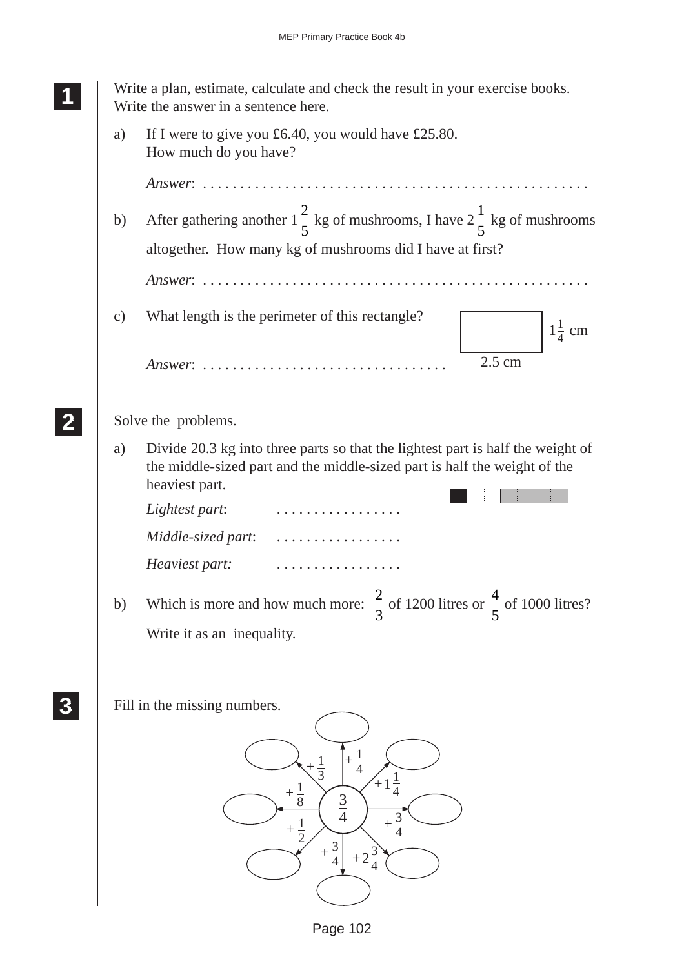|                  |               | Write a plan, estimate, calculate and check the result in your exercise books.<br>Write the answer in a sentence here.                                                                                |
|------------------|---------------|-------------------------------------------------------------------------------------------------------------------------------------------------------------------------------------------------------|
|                  | a)            | If I were to give you $\pounds 6.40$ , you would have £25.80.<br>How much do you have?                                                                                                                |
|                  |               |                                                                                                                                                                                                       |
|                  | b)            | After gathering another $1\frac{2}{5}$ kg of mushrooms, I have $2\frac{1}{5}$ kg of mushrooms                                                                                                         |
|                  |               | altogether. How many kg of mushrooms did I have at first?                                                                                                                                             |
|                  |               |                                                                                                                                                                                                       |
|                  | $\mathbf{c})$ | What length is the perimeter of this rectangle?<br>$1\frac{1}{4}$ cm                                                                                                                                  |
|                  |               | 2.5 cm                                                                                                                                                                                                |
|                  |               | Solve the problems.                                                                                                                                                                                   |
|                  | a)            | Divide 20.3 kg into three parts so that the lightest part is half the weight of<br>the middle-sized part and the middle-sized part is half the weight of the<br>heaviest part.<br>Lightest part:<br>. |
|                  |               | Middle-sized part:<br>.                                                                                                                                                                               |
|                  |               | Heaviest part:<br>.                                                                                                                                                                                   |
|                  | b)            | Which is more and how much more: $\frac{2}{3}$ of 1200 litres or $\frac{4}{5}$ of 1000 litres?                                                                                                        |
|                  |               | Write it as an inequality.                                                                                                                                                                            |
| $\boldsymbol{3}$ |               | Fill in the missing numbers.                                                                                                                                                                          |
|                  |               | $\frac{1}{4}$<br>$\frac{1}{4}$<br>$rac{1}{8}$<br>$rac{3}{4}$<br>$rac{3}{4}$<br>$\frac{1}{2}$<br>3<br>$+2\frac{3}{4}$                                                                                  |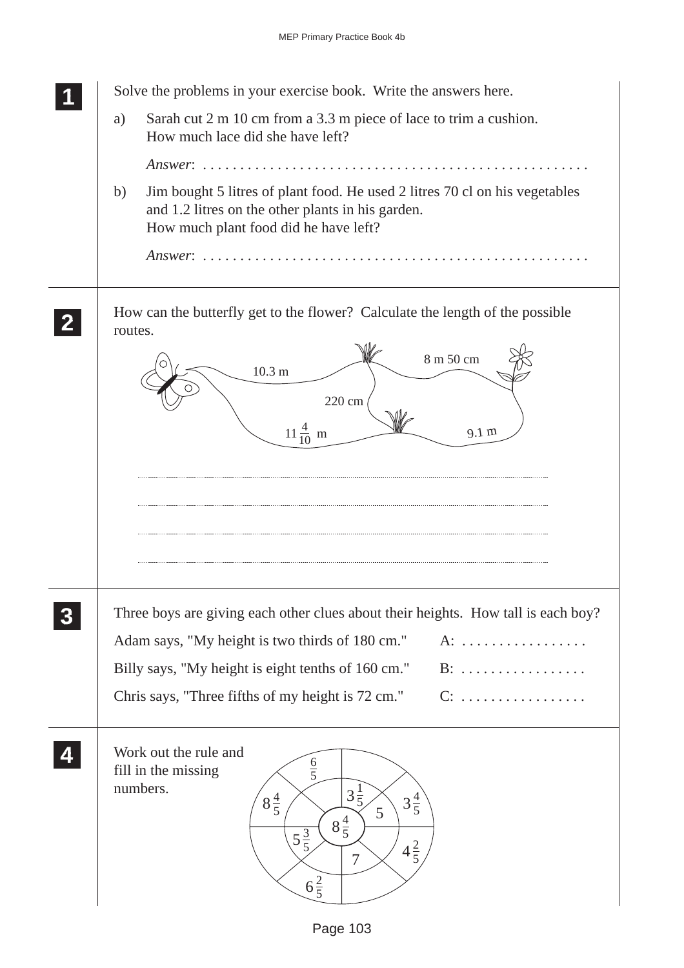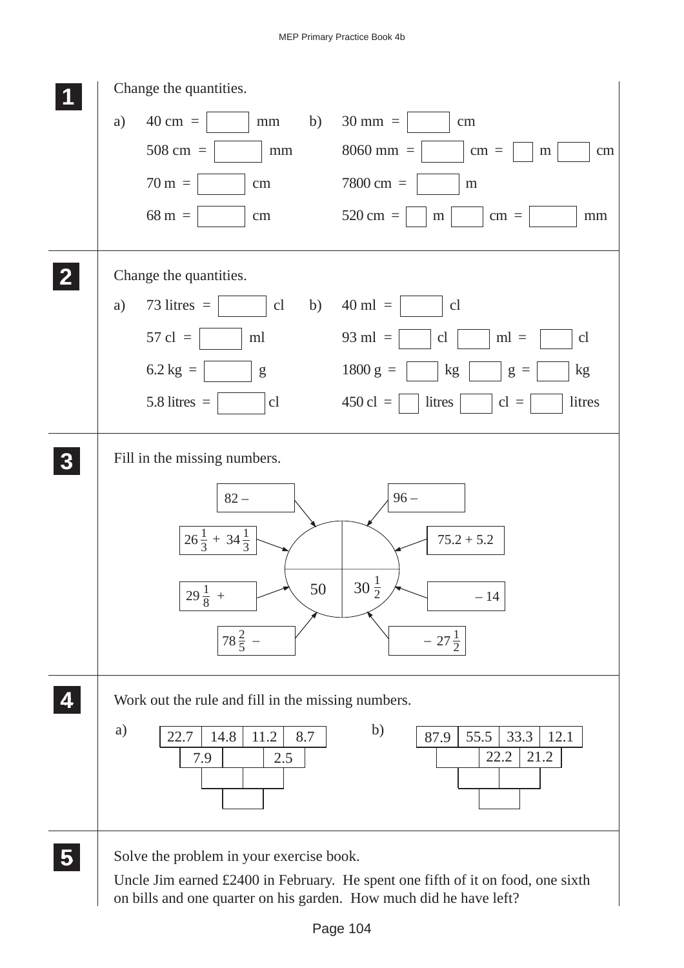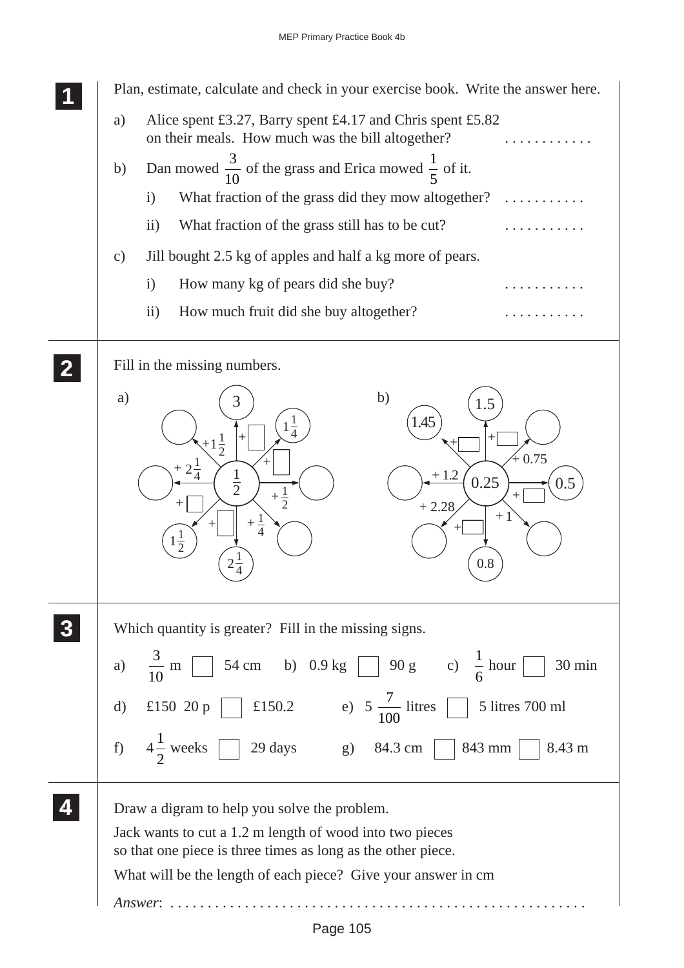|              | Plan, estimate, calculate and check in your exercise book. Write the answer here.                                                                                                                                                                    |
|--------------|------------------------------------------------------------------------------------------------------------------------------------------------------------------------------------------------------------------------------------------------------|
|              | Alice spent £3.27, Barry spent £4.17 and Chris spent £5.82<br>a)<br>on their meals. How much was the bill altogether?                                                                                                                                |
|              | Dan mowed $\frac{3}{10}$ of the grass and Erica mowed $\frac{1}{5}$ of it.<br>b)                                                                                                                                                                     |
|              | What fraction of the grass did they mow altogether?<br>$\mathbf{i}$                                                                                                                                                                                  |
|              | What fraction of the grass still has to be cut?<br>$\rm ii)$                                                                                                                                                                                         |
|              | Jill bought 2.5 kg of apples and half a kg more of pears.<br>$\mathcal{C}$ )                                                                                                                                                                         |
|              | $\mathbf{i}$<br>How many kg of pears did she buy?                                                                                                                                                                                                    |
|              | $\overline{11}$ )<br>How much fruit did she buy altogether?                                                                                                                                                                                          |
| $\mathbf{2}$ | Fill in the missing numbers.                                                                                                                                                                                                                         |
|              | b)<br>a)<br>3<br>1.5<br>.45<br>$1\frac{1}{4}$<br>$+1\frac{1}{2}$<br>$+0.75$<br>$2\frac{1}{4}$<br>$\frac{1}{2}$<br>$+1.2$<br>0.25<br>0.5<br>$+\frac{1}{2}$<br>$+2.28$<br>$+1$<br>$\overline{4}$<br>$1\frac{1}{2}$<br>$2\frac{1}{4}$<br>0.8            |
|              | Which quantity is greater? Fill in the missing signs.                                                                                                                                                                                                |
|              | a) $\frac{3}{10}$ m $\boxed{\phantom{0}}$ 54 cm b) 0.9 kg $\boxed{\phantom{0}}$ 90 g c) $\frac{1}{6}$ hour $\boxed{\phantom{0}}$ 30 min                                                                                                              |
|              | d) £150 20 p<br>E150.2 e) $5\frac{7}{100}$ litres<br>5 litres 700 ml                                                                                                                                                                                 |
|              | f) $4\frac{1}{2}$ weeks $\boxed{29 \text{ days}}$ g) 84.3 cm $\boxed{843 \text{ mm}}$ 8.43 m                                                                                                                                                         |
|              | Draw a digram to help you solve the problem.<br>Jack wants to cut a 1.2 m length of wood into two pieces<br>so that one piece is three times as long as the other piece.<br>What will be the length of each piece? Give your answer in cm<br>Answer: |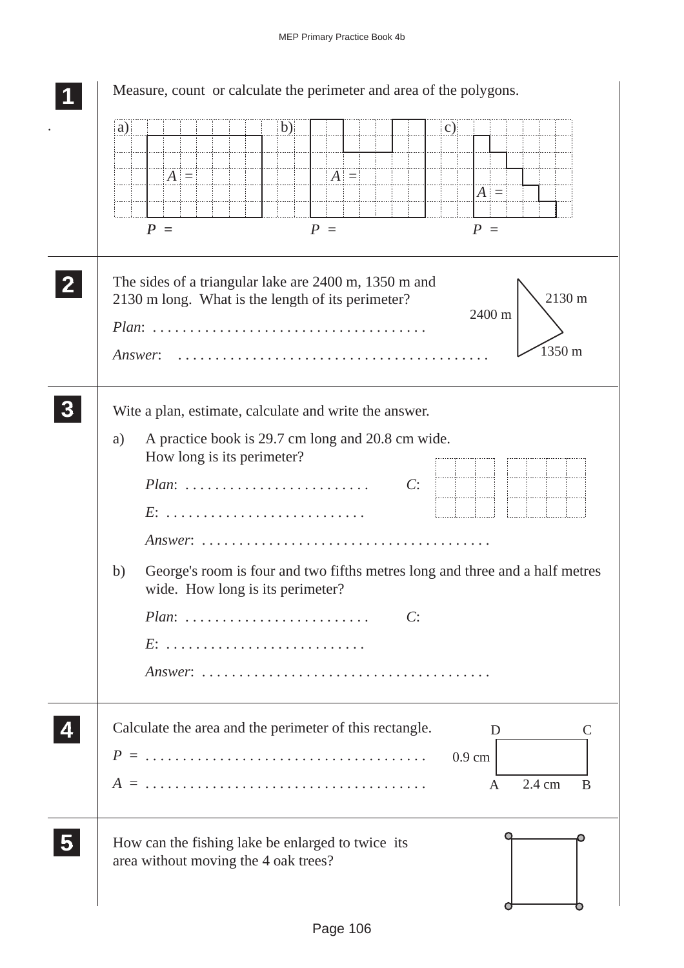| a) |                                                                                                                               | (b) |         |    | $\mathbf{c})$    |                            |
|----|-------------------------------------------------------------------------------------------------------------------------------|-----|---------|----|------------------|----------------------------|
|    |                                                                                                                               |     |         |    |                  |                            |
|    | $ A  =$                                                                                                                       |     | $ A  =$ |    | $ A  =$          |                            |
|    |                                                                                                                               |     |         |    |                  |                            |
|    | $P =$                                                                                                                         |     | $P =$   |    | $P =$            |                            |
|    | The sides of a triangular lake are 2400 m, 1350 m and<br>2130 m long. What is the length of its perimeter?<br><i>Answer</i> : |     |         |    | 2400 m           | 2130 m<br>$1350 \text{ m}$ |
|    |                                                                                                                               |     |         |    |                  |                            |
|    | Wite a plan, estimate, calculate and write the answer.                                                                        |     |         |    |                  |                            |
| a) | A practice book is 29.7 cm long and 20.8 cm wide.<br>How long is its perimeter?                                               |     |         |    |                  |                            |
|    | $Plan: \ldots \ldots \ldots \ldots \ldots \ldots \ldots$                                                                      |     |         | C: |                  |                            |
|    |                                                                                                                               |     |         |    |                  |                            |
|    |                                                                                                                               |     |         |    |                  |                            |
|    | $Answer: \ldots \ldots \ldots \ldots \ldots \ldots \ldots \ldots \ldots \ldots$                                               |     |         |    |                  |                            |
| b) | George's room is four and two fifths metres long and three and a half metres<br>wide. How long is its perimeter?              |     |         |    |                  |                            |
|    |                                                                                                                               |     |         | C: |                  |                            |
|    | $Plan: \ldots \ldots \ldots \ldots \ldots \ldots \ldots$                                                                      |     |         |    |                  |                            |
|    | $E: \ldots \ldots \ldots \ldots \ldots \ldots \ldots \ldots \ldots$                                                           |     |         |    |                  |                            |
|    |                                                                                                                               |     |         |    |                  |                            |
|    | Calculate the area and the perimeter of this rectangle.                                                                       |     |         |    | D                |                            |
|    |                                                                                                                               |     |         |    | $0.9 \text{ cm}$ |                            |
|    |                                                                                                                               |     |         |    | A                | 2.4 cm                     |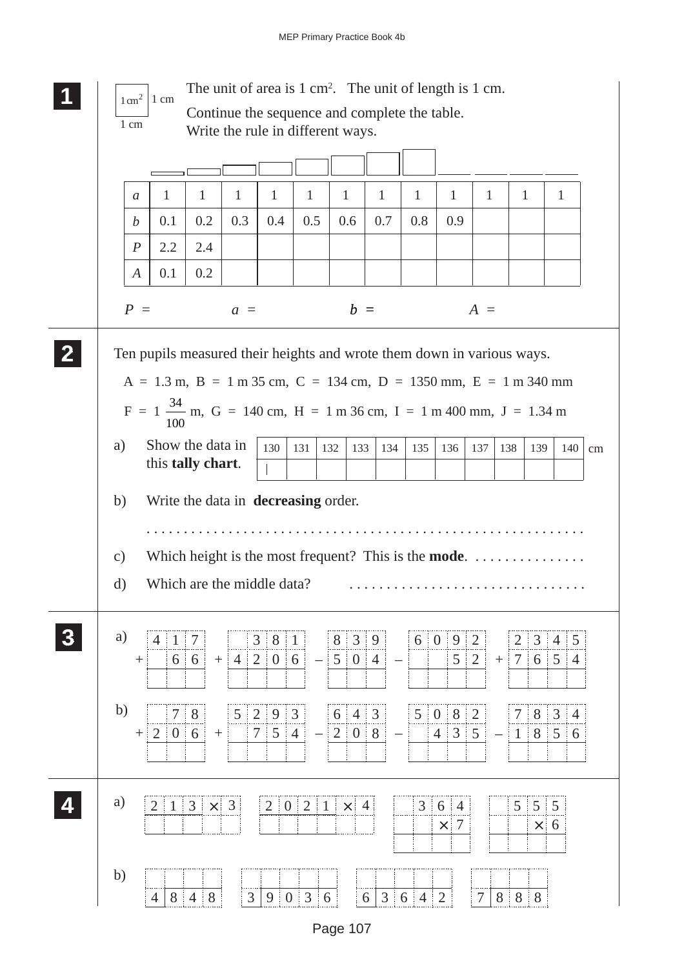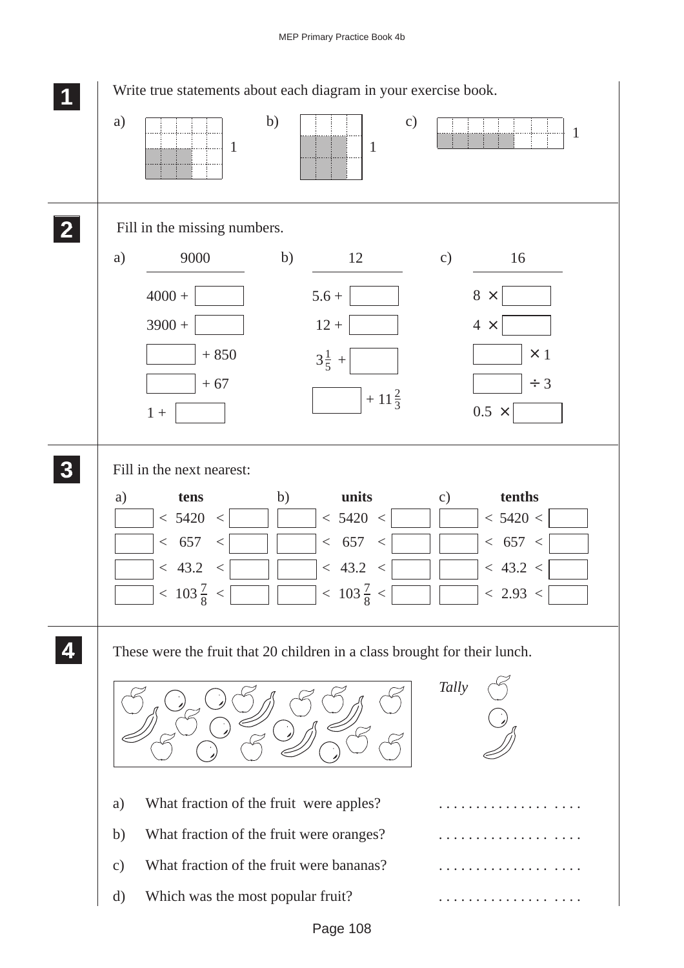## MEP Primary Practice Book 4b

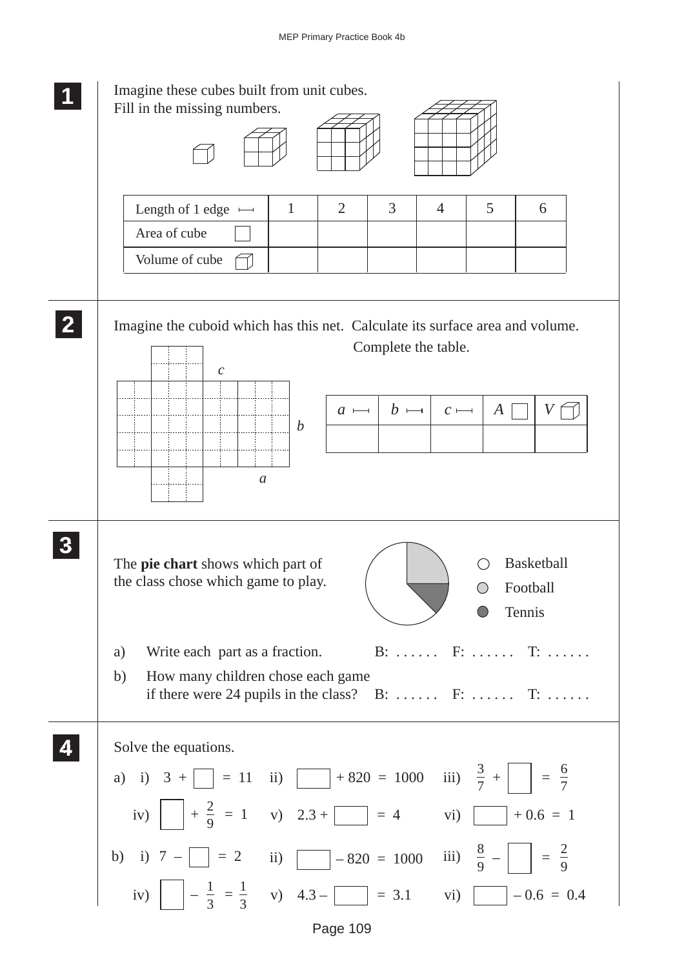